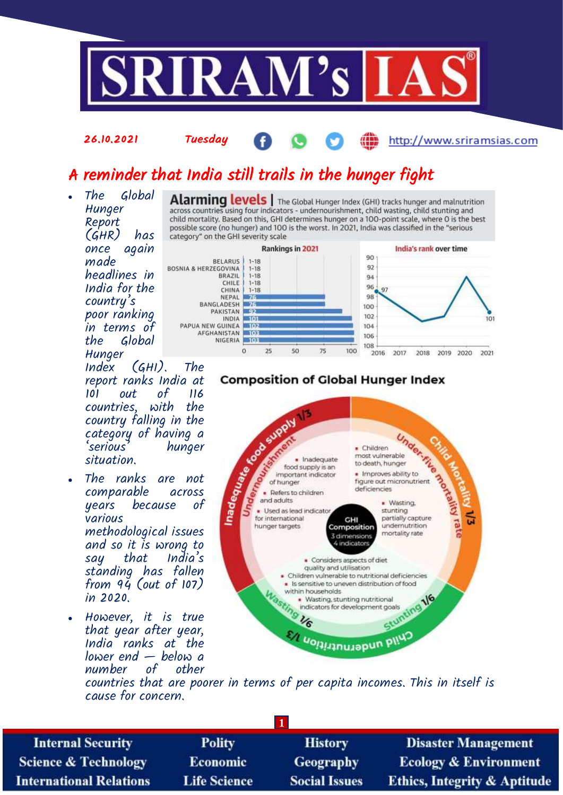

# A reminder that India still trails in the hunger fight

 The Global **Hunger** across countries using four indicators - undernourishment, child wasting, child stunting and child mortality. Based on this, GHI determines hunger on a 100-point scale, where O is the best Report (GHR) has once again made headlines in India for the country's poor ranking in terms of Global Hunger<br>Index



Alarming levels | The Global Hunger Index (GHI) tracks hunger and malnutrition

 $(GHI)$ . The report ranks India at 101 out of 116 countries, with country falling in the category of having a hunger situation.

26.10.2021 Tuesday

- The ranks are not comparable across because various methodological issues and so it is wrong to say that India's standing has fallen from  $9\ddot{q}$  (out of  $107$ ) in 2020.
- However, it is true that year after year, India ranks at the lower end — below a number of

### **Composition of Global Hunger Index**

2016

2017

2018

2019 2020

2021



countries that are poorer in terms of per capita incomes. This in itself is cause for concern.

**1**

**Internal Security Science & Technology International Relations** 

**Polity** Economic **Life Science** 

**History** Geography **Social Issues** 

**Disaster Management Ecology & Environment Ethics, Integrity & Aptitude** 

http://www.sriramsias.com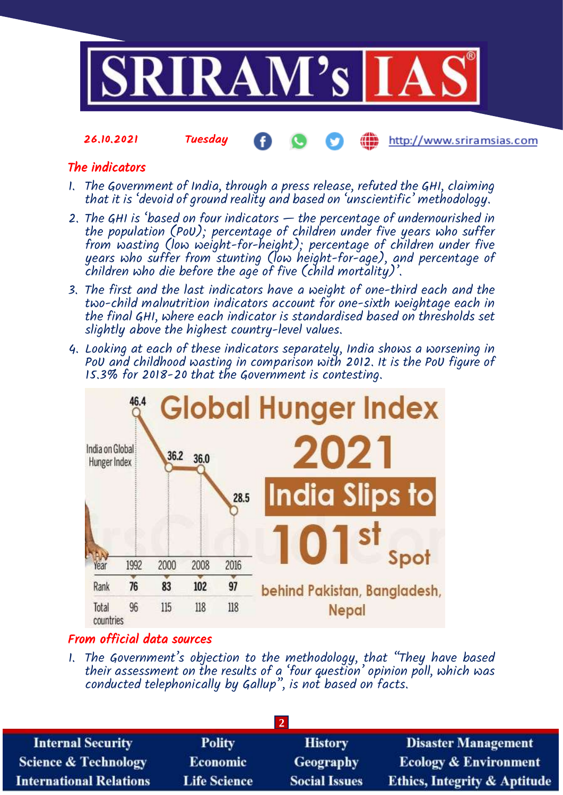

http://www.sriramsias.com

## The indicators

26.10.2021 Tuesday

- 1. The Government of India, through a press release, refuted the GHI, claiming that it is 'devoid of ground reality and based on 'unscientific' methodology.
- 2. The GHI is 'based on four indicators the percentage of undernourished in the population (PoU); percentage of children under five years who suffer from wasting (low weight-for-height); percentage of children under five years who suffer from stunting (low height-for-age), and percentage of children who die before the age of five (child mortality)'.
- 3. The first and the last indicators have a weight of one-third each and the two-child malnutrition indicators account for one-sixth weightage each in the final GHI, where each indicator is standardised based on thresholds set slightly above the highest country-level values.
- 4. Looking at each of these indicators separately, India shows a worsening in PoU and childhood wasting in comparison with 2012. It is the PoU figure of 15.3% for 2018-20 that the Government is contesting.



### From official data sources

1. The Government's objection to the methodology, that "They have based their assessment on the results of a 'four question' opinion poll, which was conducted telephonically by Gallup", is not based on facts.

| <b>Polity</b>       | <b>History</b>       | <b>Disaster Management</b>              |  |  |  |
|---------------------|----------------------|-----------------------------------------|--|--|--|
| <b>Economic</b>     | <b>Geography</b>     | <b>Ecology &amp; Environment</b>        |  |  |  |
| <b>Life Science</b> | <b>Social Issues</b> | <b>Ethics, Integrity &amp; Aptitude</b> |  |  |  |
|                     |                      |                                         |  |  |  |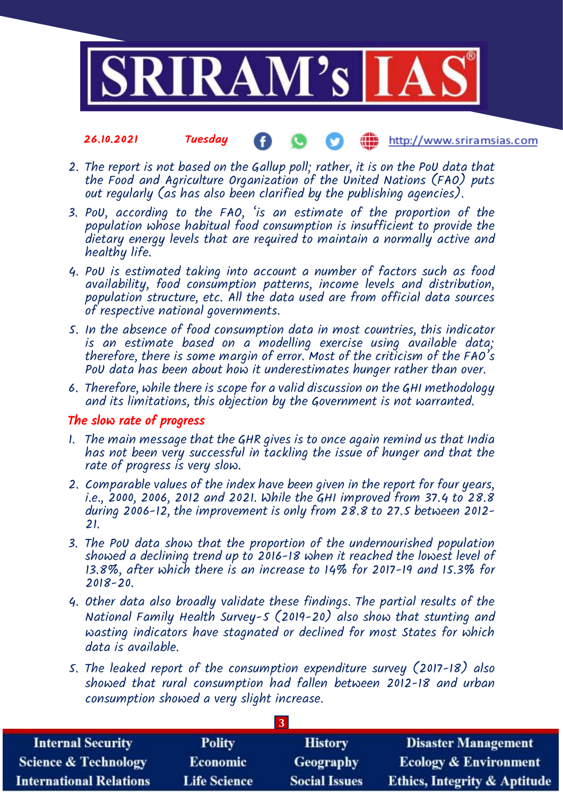

#### 26.10.2021 Tuesday ŒĎ http://www.sriramsias.com

- 2. The report is not based on the Gallup poll; rather, it is on the PoU data that the Food and Agriculture Organization of the United Nations (FAO) puts out regularly (as has also been clarified by the publishing agencies).
- 3. PoU, according to the FAO, 'is an estimate of the proportion of the population whose habitual food consumption is insufficient to provide the dietary energy levels that are required to maintain a normally active and healthy life.
- 4. PoU is estimated taking into account a number of factors such as food availability, food consumption patterns, income levels and distribution, population structure, etc. All the data used are from official data sources of respective national governments.
- 5. In the absence of food consumption data in most countries, this indicator is an estimate based on a modelling exercise using available data; therefore, there is some margin of error. Most of the criticism of the FAO's PoU data has been about how it underestimates hunger rather than over.
- 6. Therefore, while there is scope for a valid discussion on the GHI methodology and its limitations, this objection by the Government is not warranted.

### The slow rate of progress

- 1. The main message that the GHR gives is to once again remind us that India has not been very successful in tackling the issue of hunger and that the rate of progress is very slow.
- 2. Comparable values of the index have been given in the report for four years, i.e., 2000, 2006, 2012 and 2021. While the GHI improved from 37.4 to 28.8 during 2006-12, the improvement is only from 28.8 to 27.5 between 2012- 21.
- 3. The PoU data show that the proportion of the undernourished population showed a declining trend up to 2016-18 when it reached the lowest level of 13.8%, after which there is an increase to 14% for 2017-19 and 15.3% for 2018-20.
- 4. Other data also broadly validate these findings. The partial results of the National Family Health Survey-5 (2019-20) also show that stunting and wasting indicators have stagnated or declined for most States for which data is available.
- 5. The leaked report of the consumption expenditure survey (2017-18) also showed that rural consumption had fallen between 2012-18 and urban consumption showed a very slight increase.

**3**

| <b>Internal Security</b>        | <b>Polity</b>       | <b>History</b>       | <b>Disaster Management</b>              |  |  |  |
|---------------------------------|---------------------|----------------------|-----------------------------------------|--|--|--|
| <b>Science &amp; Technology</b> | <b>Economic</b>     | <b>Geography</b>     | <b>Ecology &amp; Environment</b>        |  |  |  |
| <b>International Relations</b>  | <b>Life Science</b> | <b>Social Issues</b> | <b>Ethics, Integrity &amp; Aptitude</b> |  |  |  |